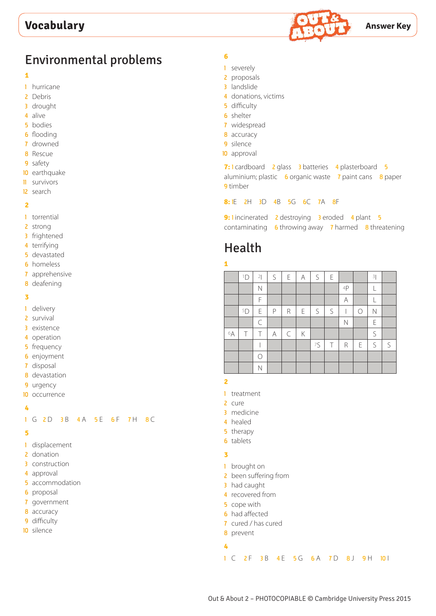

## Environmental problems

#### 

- hurricane
- Debris
- drought
- alive
- bodies
- flooding
- drowned
- Rescue
- safety
- earthquake
- survivors
- search

#### 

- torrential
- strong
- frightened
- terrifying
- devastated
- homeless
- apprehensive
- deafening

#### 

- delivery
- survival
- existence
- operation
- frequency
- enjoyment
- disposal
- devastation
- urgency
- occurrence

#### 

#### 1 G 2D 3B 4A 5E 6F 7H 8C

#### 

- displacement
- 2 donation
- construction
- approval
- accommodation
- proposal
- government
- accuracy
- difficulty
- silence

### 

- severely
- proposals
- landslide
- donations, victims
- difficulty
- shelter
- widespread
- accuracy
- silence
- approval

**7: 1** cardboard **2** glass **3** batteries **4** plasterboard **5** aluminium; plastic 6 organic waste 7 paint cans 8 paper timber

**8:** 1E 2H 3D 4B 5G 6C 7A 8F

| 9: lincinerated 2 destroying 3 eroded 4 plant 5          |  |  |  |  |
|----------------------------------------------------------|--|--|--|--|
| contaminating $6$ throwing away 7 harmed $8$ threatening |  |  |  |  |

# Health

### 

|    | 1D | 2         | S | $\mathsf E$ | $\forall$ | $\mathsf{S}$ | E |    |           | 3           |   |
|----|----|-----------|---|-------------|-----------|--------------|---|----|-----------|-------------|---|
|    |    | N         |   |             |           |              |   | 4P |           |             |   |
|    |    | F         |   |             |           |              |   | Α  |           |             |   |
|    | 5D | Ε         | P | R           | E         | S            | S |    | $\bigcap$ | N           |   |
|    |    | $\subset$ |   |             |           |              |   | N  |           | Ε           |   |
| 6A | Τ  | Τ         | А | $\subset$   | Κ         |              |   |    |           | $\mathsf S$ |   |
|    |    |           |   |             |           | 75           | Τ | R  | E         | $\mathsf S$ | S |
|    |    | ∩         |   |             |           |              |   |    |           |             |   |
|    |    | Ν         |   |             |           |              |   |    |           |             |   |

- treatment
- cure
- medicine
- healed
- therapy
- tablets

#### 

- brought on
- 2 been suffering from
- 3 had caught
	- recovered from
	- cope with
- had affected
- cured / has cured
- prevent
-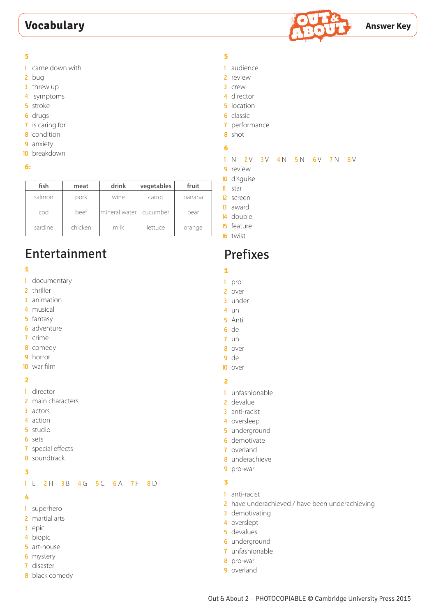## **Vocabulary Answer Key**



- came down with
- bug
- 3 threw up
- symptoms
- stroke
- drugs
- is caring for
- condition
- anxiety
- breakdown
- **6:**

| fish    | meat    | drink          | vegetables | fruit  |
|---------|---------|----------------|------------|--------|
| salmon  | pork    | wine           | carrot     | banana |
| cod     | beef    | Imineral water | cucumber   | pear   |
| sardine | chicken | milk           | lettuce    | orange |

# Entertainment

#### 

- documentary
- thriller
- animation
- musical
- fantasy
- adventure
- crime
- comedy
- horror
- war film

#### 

- director
- 2 main characters
- actors
- action
- studio
- sets
- special effects
- soundtrack

#### 

1 E 2 H 3 B 4 G 5 C 6 A 7 F 8 D

#### 

- superhero
- 2 martial arts
- epic
- biopic
- art-house
- mystery
- disaster
- 8 black comedy

#### 

- audience
- review
- crew
- director
- location
- classic
- performance
- shot

#### 

#### 1 N 2V 3V 4N 5N 6V 7N 8V

- 9 review
- disguise
- star
- screen
- award
- double
- feature
- twist

## Prefixes

- 
- pro
- over
- under
- un
- Anti de
- un
- over
- de
- over

#### 

- unfashionable
- devalue
- anti-racist
- oversleep
- underground
- demotivate
- overland
- underachieve
- pro-war

#### 

- anti-racist
- 2 have underachieved / have been underachieving
- demotivating
- overslept
- devalues
- underground
- unfashionable
- pro-war
- overland